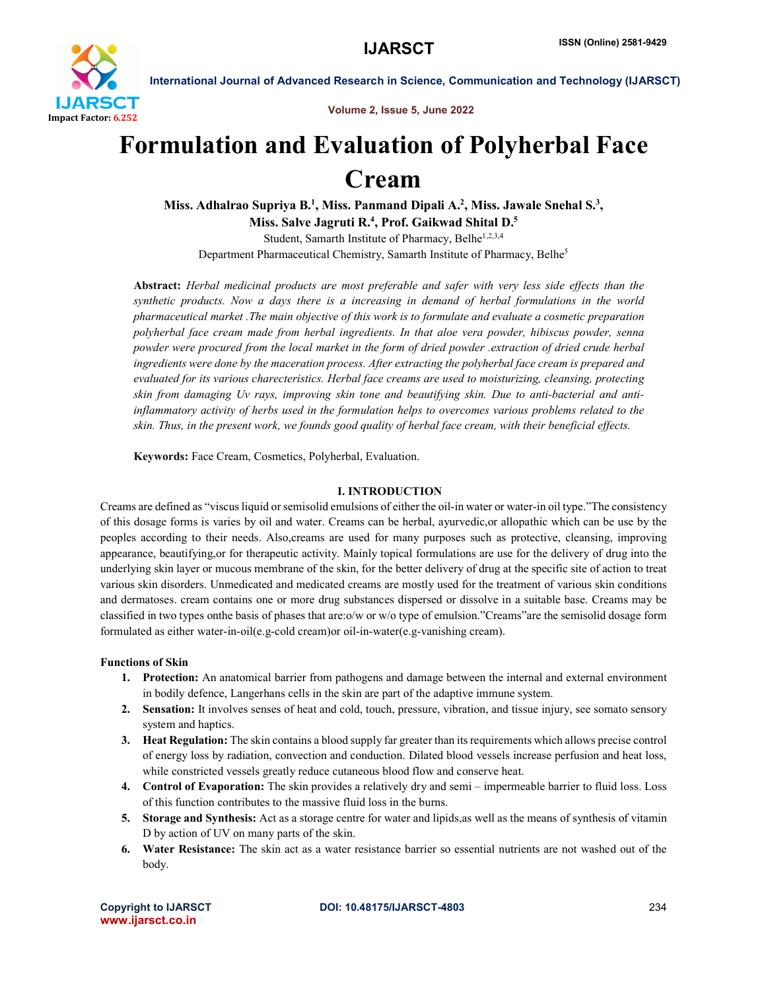

Volume 2, Issue 5, June 2022

# Formulation and Evaluation of Polyherbal Face Cream

Miss. Adhalrao Supriya B.<sup>1</sup>, Miss. Panmand Dipali A.<sup>2</sup>, Miss. Jawale Snehal S.<sup>3</sup>, Miss. Salve Jagruti R.<sup>4</sup>, Prof. Gaikwad Shital D.<sup>5</sup> Student, Samarth Institute of Pharmacy, Belhe<sup>1,2,3,4</sup>

Department Pharmaceutical Chemistry, Samarth Institute of Pharmacy, Belhe<sup>5</sup>

Abstract: *Herbal medicinal products are most preferable and safer with very less side effects than the synthetic products. Now a days there is a increasing in demand of herbal formulations in the world pharmaceutical market .The main objective of this work is to formulate and evaluate a cosmetic preparation polyherbal face cream made from herbal ingredients. In that aloe vera powder, hibiscus powder, senna powder were procured from the local market in the form of dried powder .extraction of dried crude herbal ingredients were done by the maceration process. After extracting the polyherbal face cream is prepared and evaluated for its various charecteristics. Herbal face creams are used to moisturizing, cleansing, protecting skin from damaging Uv rays, improving skin tone and beautifying skin. Due to anti-bacterial and antiinflammatory activity of herbs used in the formulation helps to overcomes various problems related to the skin. Thus, in the present work, we founds good quality of herbal face cream, with their beneficial effects.*

Keywords: Face Cream, Cosmetics, Polyherbal, Evaluation.

### I. INTRODUCTION

Creams are defined as "viscus liquid or semisolid emulsions of either the oil-in water or water-in oil type."The consistency of this dosage forms is varies by oil and water. Creams can be herbal, ayurvedic,or allopathic which can be use by the peoples according to their needs. Also,creams are used for many purposes such as protective, cleansing, improving appearance, beautifying,or for therapeutic activity. Mainly topical formulations are use for the delivery of drug into the underlying skin layer or mucous membrane of the skin, for the better delivery of drug at the specific site of action to treat various skin disorders. Unmedicated and medicated creams are mostly used for the treatment of various skin conditions and dermatoses. cream contains one or more drug substances dispersed or dissolve in a suitable base. Creams may be classified in two types onthe basis of phases that are:o/w or w/o type of emulsion."Creams"are the semisolid dosage form formulated as either water-in-oil(e.g-cold cream)or oil-in-water(e.g-vanishing cream).

### Functions of Skin

- 1. Protection: An anatomical barrier from pathogens and damage between the internal and external environment in bodily defence, Langerhans cells in the skin are part of the adaptive immune system.
- 2. Sensation: It involves senses of heat and cold, touch, pressure, vibration, and tissue injury, see somato sensory system and haptics.
- 3. Heat Regulation: The skin contains a blood supply far greater than its requirements which allows precise control of energy loss by radiation, convection and conduction. Dilated blood vessels increase perfusion and heat loss, while constricted vessels greatly reduce cutaneous blood flow and conserve heat.
- 4. Control of Evaporation: The skin provides a relatively dry and semi impermeable barrier to fluid loss. Loss of this function contributes to the massive fluid loss in the burns.
- 5. Storage and Synthesis: Act as a storage centre for water and lipids,as well as the means of synthesis of vitamin D by action of UV on many parts of the skin.
- 6. Water Resistance: The skin act as a water resistance barrier so essential nutrients are not washed out of the body.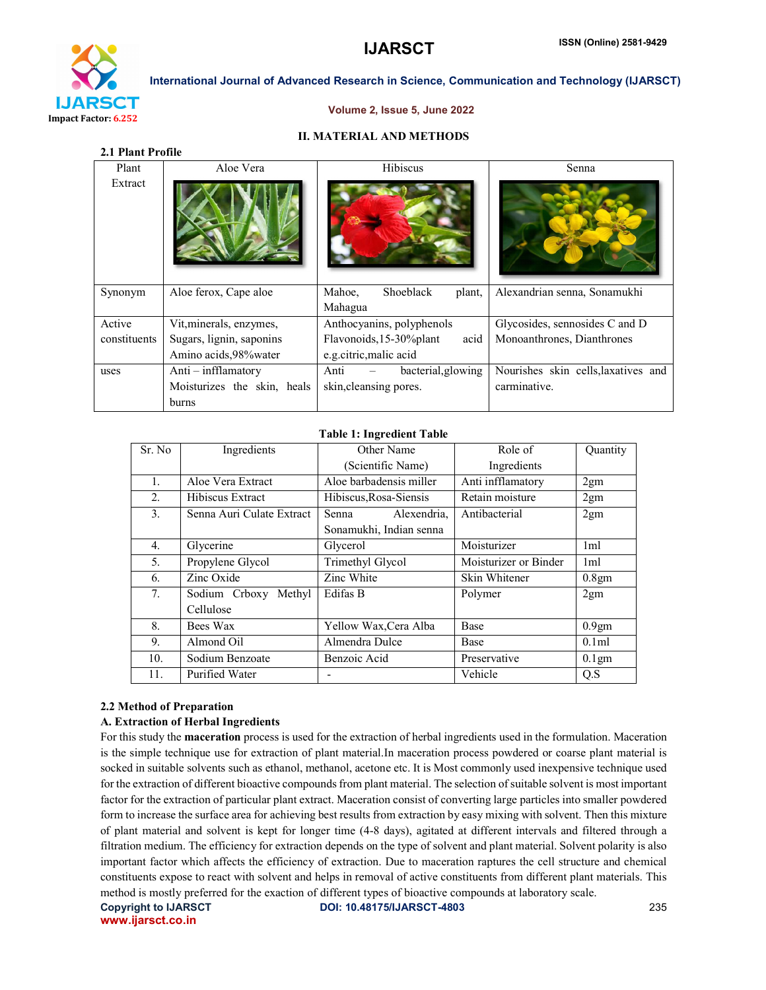

#### Volume 2, Issue 5, June 2022

#### II. MATERIAL AND METHODS

|  | 2.1 Plant Profile |
|--|-------------------|
|--|-------------------|

| Plant        | Aloe Vera                   | Hibiscus                         | Senna                               |
|--------------|-----------------------------|----------------------------------|-------------------------------------|
| Extract      |                             |                                  |                                     |
| Synonym      | Aloe ferox, Cape aloe       | Shoeblack<br>Mahoe.<br>plant,    | Alexandrian senna, Sonamukhi        |
|              |                             | Mahagua                          |                                     |
| Active       | Vit, minerals, enzymes,     | Anthocyanins, polyphenols        | Glycosides, sennosides C and D      |
| constituents | Sugars, lignin, saponins    | Flavonoids, 15-30% plant<br>acid | Monoanthrones, Dianthrones          |
|              | Amino acids, 98% water      | e.g.citric, malic acid           |                                     |
| uses         | Anti $-$ infflamatory       | bacterial, glowing<br>Anti       | Nourishes skin cells, laxatives and |
|              | Moisturizes the skin, heals | skin, cleansing pores.           | carminative.                        |
|              | burns                       |                                  |                                     |

#### Table 1: Ingredient Table

| Sr. No         | Ingredients               | Other Name              | Role of               | Quantity          |
|----------------|---------------------------|-------------------------|-----------------------|-------------------|
|                |                           | (Scientific Name)       | Ingredients           |                   |
| $\mathbf{1}$ . | Aloe Vera Extract         | Aloe barbadensis miller | Anti infflamatory     | 2gm               |
| 2.             | Hibiscus Extract          | Hibiscus, Rosa-Siensis  | Retain moisture       | 2gm               |
| 3.             | Senna Auri Culate Extract | Alexendria,<br>Senna    | Antibacterial         | 2gm               |
|                |                           | Sonamukhi, Indian senna |                       |                   |
| 4.             | Glycerine                 | Glycerol                | Moisturizer           | 1 <sub>m</sub>    |
| 5.             | Propylene Glycol          | Trimethyl Glycol        | Moisturizer or Binder | 1 <sub>ml</sub>   |
| 6.             | Zinc Oxide                | Zinc White              | Skin Whitener         | 0.8gm             |
| 7.             | Sodium Crboxy Methyl      | Edifas B                | Polymer               | 2gm               |
|                | Cellulose                 |                         |                       |                   |
| 8.             | Bees Wax                  | Yellow Wax, Cera Alba   | Base                  | 0.9 <sub>gm</sub> |
| 9.             | Almond Oil                | Almendra Dulce          | Base                  | 0.1ml             |
| 10.            | Sodium Benzoate           | Benzoic Acid            | Preservative          | 0.1gm             |
| 11.            | Purified Water            |                         | Vehicle               | Q.S               |

#### 2.2 Method of Preparation

#### A. Extraction of Herbal Ingredients

For this study the maceration process is used for the extraction of herbal ingredients used in the formulation. Maceration is the simple technique use for extraction of plant material.In maceration process powdered or coarse plant material is socked in suitable solvents such as ethanol, methanol, acetone etc. It is Most commonly used inexpensive technique used for the extraction of different bioactive compounds from plant material. The selection of suitable solvent is most important factor for the extraction of particular plant extract. Maceration consist of converting large particles into smaller powdered form to increase the surface area for achieving best results from extraction by easy mixing with solvent. Then this mixture of plant material and solvent is kept for longer time (4-8 days), agitated at different intervals and filtered through a filtration medium. The efficiency for extraction depends on the type of solvent and plant material. Solvent polarity is also important factor which affects the efficiency of extraction. Due to maceration raptures the cell structure and chemical constituents expose to react with solvent and helps in removal of active constituents from different plant materials. This method is mostly preferred for the exaction of different types of bioactive compounds at laboratory scale.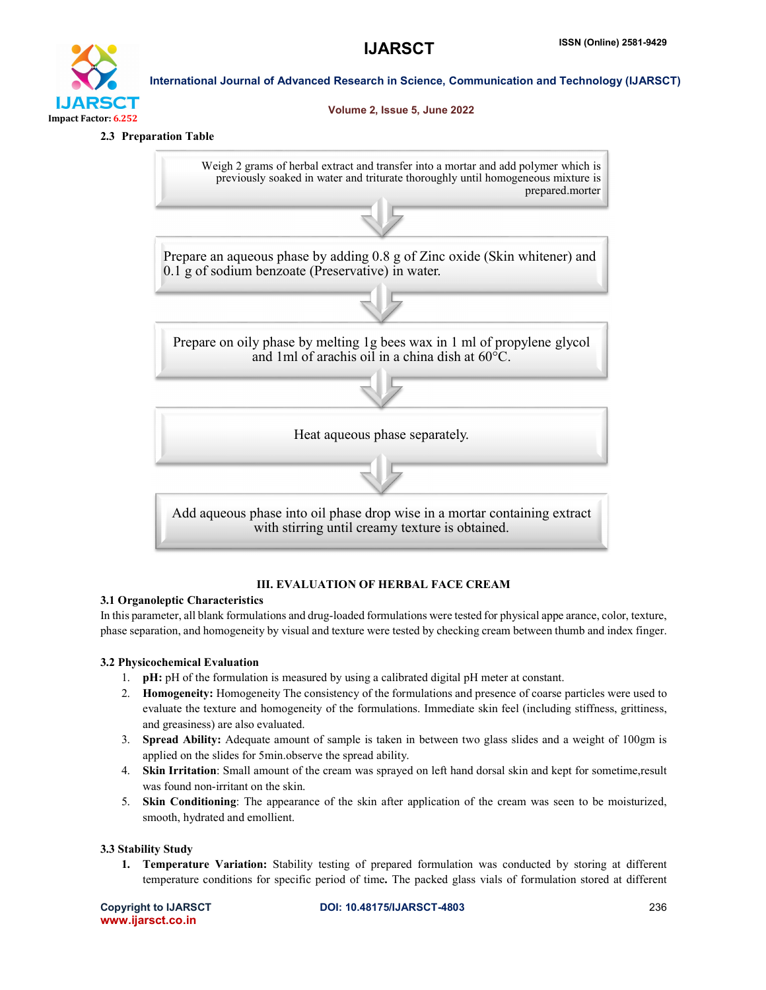

#### Volume 2, Issue 5, June 2022

#### 2.3 Preparation Table

Impact Factor: 6.252

Weigh 2 grams of herbal extract and transfer into a mortar and add polymer which is previously soaked in water and triturate thoroughly until homogeneous mixture is prepared.morter

Prepare an aqueous phase by adding 0.8 g of Zinc oxide (Skin whitener) and 0.1 g of sodium benzoate (Preservative) in water.

Prepare on oily phase by melting 1g bees wax in 1 ml of propylene glycol and 1ml of arachis oil in a china dish at 60°C.

Heat aqueous phase separately.

Add aqueous phase into oil phase drop wise in a mortar containing extract with stirring until creamy texture is obtained.

# III. EVALUATION OF HERBAL FACE CREAM

# 3.1 Organoleptic Characteristics

In this parameter, all blank formulations and drug-loaded formulations were tested for physical appe arance, color, texture, phase separation, and homogeneity by visual and texture were tested by checking cream between thumb and index finger.

# 3.2 Physicochemical Evaluation

- 1. pH: pH of the formulation is measured by using a calibrated digital pH meter at constant.
- 2. Homogeneity: Homogeneity The consistency of the formulations and presence of coarse particles were used to evaluate the texture and homogeneity of the formulations. Immediate skin feel (including stiffness, grittiness, and greasiness) are also evaluated.
- 3. Spread Ability: Adequate amount of sample is taken in between two glass slides and a weight of 100gm is applied on the slides for 5min.observe the spread ability.
- 4. Skin Irritation: Small amount of the cream was sprayed on left hand dorsal skin and kept for sometime,result was found non-irritant on the skin.
- 5. Skin Conditioning: The appearance of the skin after application of the cream was seen to be moisturized, smooth, hydrated and emollient.

# 3.3 Stability Study

1. Temperature Variation: Stability testing of prepared formulation was conducted by storing at different temperature conditions for specific period of time. The packed glass vials of formulation stored at different

www.ijarsct.co.in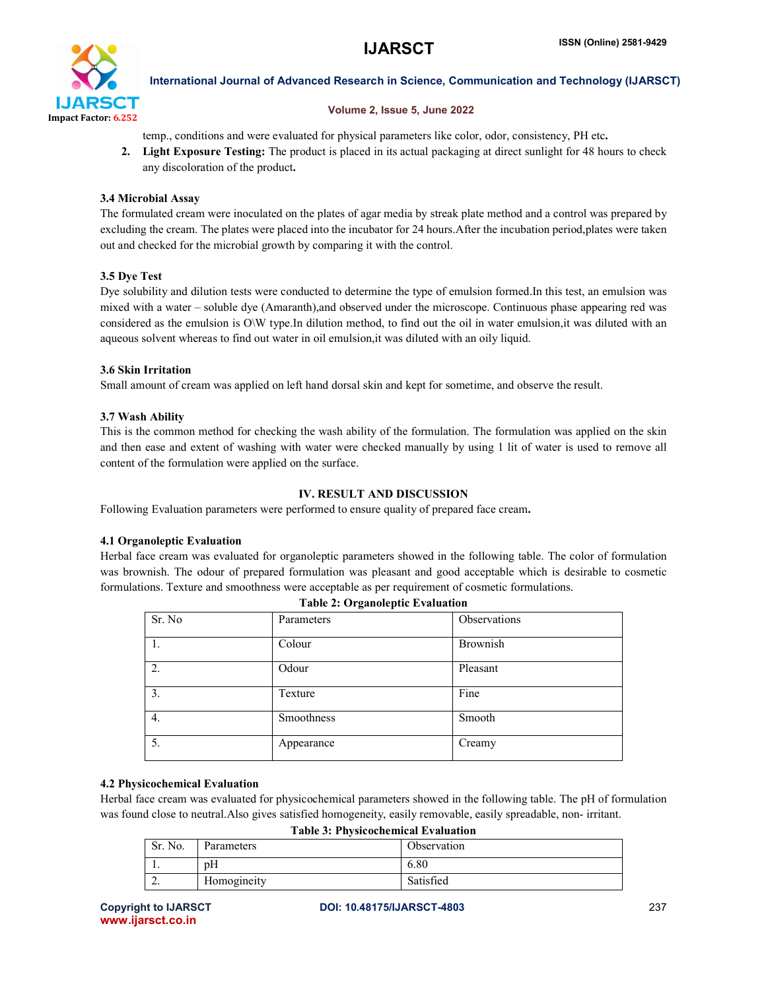

#### Volume 2, Issue 5, June 2022

temp., conditions and were evaluated for physical parameters like color, odor, consistency, PH etc.

2. Light Exposure Testing: The product is placed in its actual packaging at direct sunlight for 48 hours to check any discoloration of the product.

#### 3.4 Microbial Assay

The formulated cream were inoculated on the plates of agar media by streak plate method and a control was prepared by excluding the cream. The plates were placed into the incubator for 24 hours.After the incubation period,plates were taken out and checked for the microbial growth by comparing it with the control.

#### 3.5 Dye Test

Dye solubility and dilution tests were conducted to determine the type of emulsion formed.In this test, an emulsion was mixed with a water – soluble dye (Amaranth),and observed under the microscope. Continuous phase appearing red was considered as the emulsion is O\W type.In dilution method, to find out the oil in water emulsion,it was diluted with an aqueous solvent whereas to find out water in oil emulsion,it was diluted with an oily liquid.

#### 3.6 Skin Irritation

Small amount of cream was applied on left hand dorsal skin and kept for sometime, and observe the result.

#### 3.7 Wash Ability

This is the common method for checking the wash ability of the formulation. The formulation was applied on the skin and then ease and extent of washing with water were checked manually by using 1 lit of water is used to remove all content of the formulation were applied on the surface.

#### IV. RESULT AND DISCUSSION

Following Evaluation parameters were performed to ensure quality of prepared face cream.

#### 4.1 Organoleptic Evaluation

Herbal face cream was evaluated for organoleptic parameters showed in the following table. The color of formulation was brownish. The odour of prepared formulation was pleasant and good acceptable which is desirable to cosmetic formulations. Texture and smoothness were acceptable as per requirement of cosmetic formulations.

| Table 2. Organoieptic Evaluation |            |              |  |
|----------------------------------|------------|--------------|--|
| Sr. No                           | Parameters | Observations |  |
| 1.                               | Colour     | Brownish     |  |
| $\overline{2}$ .                 | Odour      | Pleasant     |  |
| 3.                               | Texture    | Fine         |  |
| 4.                               | Smoothness | Smooth       |  |
| 5.                               | Appearance | Creamy       |  |

### Table 2: Organoleptic Evaluation

#### 4.2 Physicochemical Evaluation

Herbal face cream was evaluated for physicochemical parameters showed in the following table. The pH of formulation was found close to neutral.Also gives satisfied homogeneity, easily removable, easily spreadable, non- irritant.

Table 3: Physicochemical Evaluation

| Tuon of Thysicochemical Dyanaucion |             |             |  |
|------------------------------------|-------------|-------------|--|
| Sr. No.                            | Parameters  | Observation |  |
|                                    | pΗ          | 6.80        |  |
| <u>.</u>                           | Homogineity | Satisfied   |  |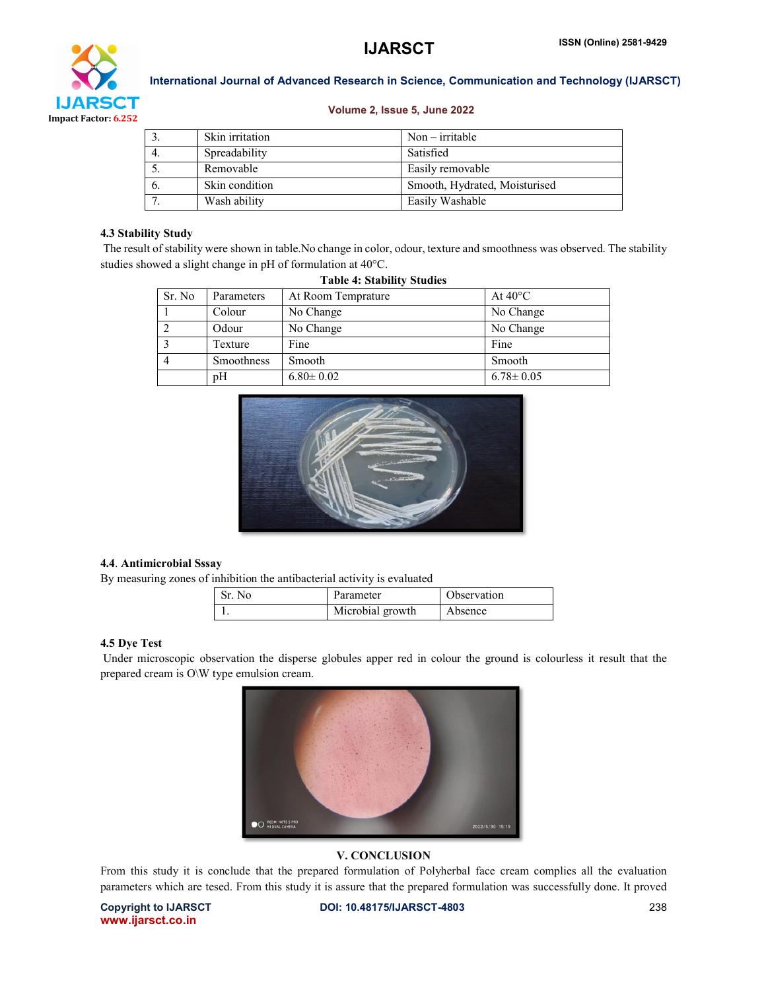

#### Volume 2, Issue 5, June 2022

|     | Skin irritation | $Non-irritable$               |
|-----|-----------------|-------------------------------|
| -4. | Spreadability   | Satisfied                     |
|     | Removable       | Easily removable              |
| 6.  | Skin condition  | Smooth, Hydrated, Moisturised |
|     | Wash ability    | Easily Washable               |

#### 4.3 Stability Study

The result of stability were shown in table.No change in color, odour, texture and smoothness was observed. The stability studies showed a slight change in pH of formulation at 40°C.

| Sr. No | Parameters | At Room Temprature | At $40^{\circ}$ C |
|--------|------------|--------------------|-------------------|
|        | Colour     | No Change          | No Change         |
|        | Odour      | No Change          | No Change         |
|        | Texture    | Fine               | Fine              |
|        | Smoothness | Smooth             | Smooth            |
|        | pH         | $6.80 \pm 0.02$    | $6.78 \pm 0.05$   |

# Table 4: Stability Studies



#### 4.4. Antimicrobial Sssay

By measuring zones of inhibition the antibacterial activity is evaluated

| Sr. No | Parameter        | Observation |
|--------|------------------|-------------|
|        | Microbial growth | Absence     |

#### 4.5 Dye Test

Under microscopic observation the disperse globules apper red in colour the ground is colourless it result that the prepared cream is O\W type emulsion cream.



### V. CONCLUSION

From this study it is conclude that the prepared formulation of Polyherbal face cream complies all the evaluation parameters which are tesed. From this study it is assure that the prepared formulation was successfully done. It proved

www.ijarsct.co.in